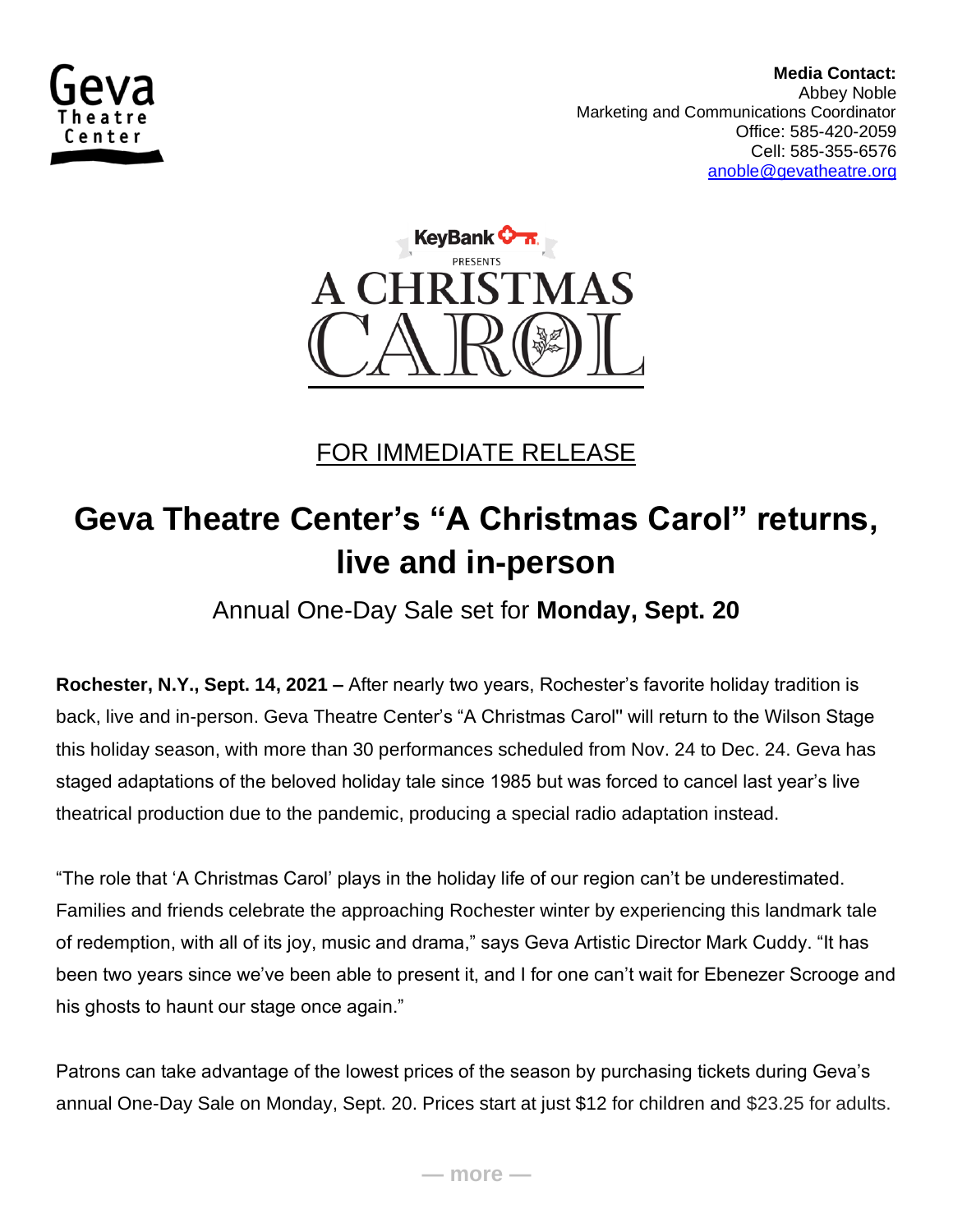

 **Media Contact:**  Abbey Noble Marketing and Communications Coordinator Office: 585-420-2059 Cell: 585-355-6576 [anoble@gevatheatre.org](mailto:anoble@gevatheatre.org)



FOR IMMEDIATE RELEASE

## **Geva Theatre Center's "A Christmas Carol" returns, live and in-person**

Annual One-Day Sale set for **Monday, Sept. 20**

**Rochester, N.Y., Sept. 14, 2021 –** After nearly two years, Rochester's favorite holiday tradition is back, live and in-person. Geva Theatre Center's "A Christmas Carol'' will return to the Wilson Stage this holiday season, with more than 30 performances scheduled from Nov. 24 to Dec. 24. Geva has staged adaptations of the beloved holiday tale since 1985 but was forced to cancel last year's live theatrical production due to the pandemic, producing a special radio adaptation instead.

"The role that 'A Christmas Carol' plays in the holiday life of our region can't be underestimated. Families and friends celebrate the approaching Rochester winter by experiencing this landmark tale of redemption, with all of its joy, music and drama," says Geva Artistic Director Mark Cuddy. "It has been two years since we've been able to present it, and I for one can't wait for Ebenezer Scrooge and his ghosts to haunt our stage once again."

Patrons can take advantage of the lowest prices of the season by purchasing tickets during Geva's annual One-Day Sale on Monday, Sept. 20. Prices start at just \$12 for children and \$23.25 for adults.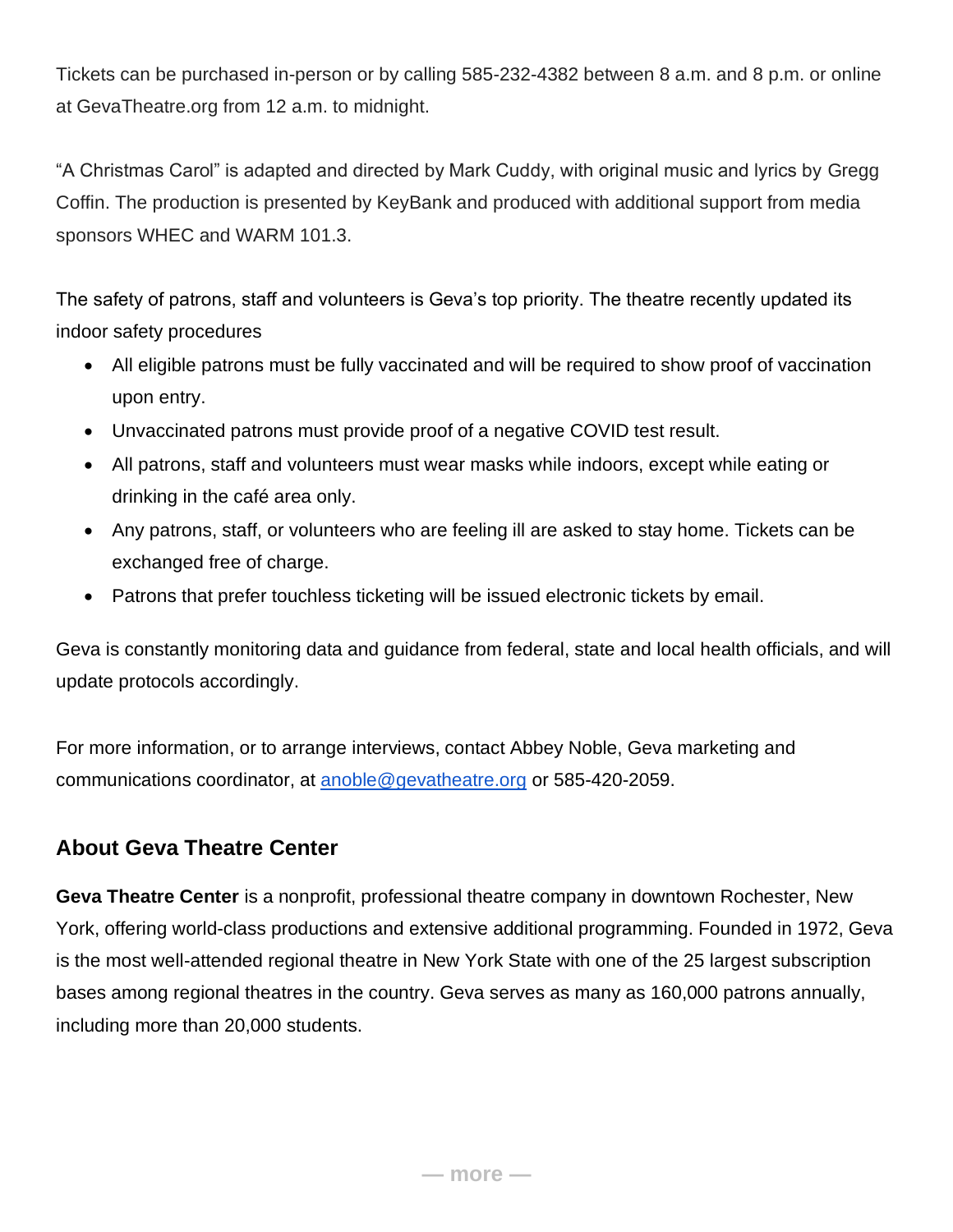Tickets can be purchased in-person or by calling 585-232-4382 between 8 a.m. and 8 p.m. or online at GevaTheatre.org from 12 a.m. to midnight.

"A Christmas Carol" is adapted and directed by Mark Cuddy, with original music and lyrics by Gregg Coffin. The production is presented by KeyBank and produced with additional support from media sponsors WHEC and WARM 101.3.

The safety of patrons, staff and volunteers is Geva's top priority. The theatre recently updated its indoor safety procedures

- All eligible patrons must be fully vaccinated and will be required to show proof of vaccination upon entry.
- Unvaccinated patrons must provide proof of a negative COVID test result.
- All patrons, staff and volunteers must wear masks while indoors, except while eating or drinking in the café area only.
- Any patrons, staff, or volunteers who are feeling ill are asked to stay home. Tickets can be exchanged free of charge.
- Patrons that prefer touchless ticketing will be issued electronic tickets by email.

Geva is constantly monitoring data and guidance from federal, state and local health officials, and will update protocols accordingly.

For more information, or to arrange interviews, contact Abbey Noble, Geva marketing and communications coordinator, at [anoble@gevatheatre.org](mailto:anoble@gevatheatre.org) or 585-420-2059.

## **About Geva Theatre Center**

**Geva Theatre Center** is a nonprofit, professional theatre company in downtown Rochester, New York, offering world-class productions and extensive additional programming. Founded in 1972, Geva is the most well-attended regional theatre in New York State with one of the 25 largest subscription bases among regional theatres in the country. Geva serves as many as 160,000 patrons annually, including more than 20,000 students.